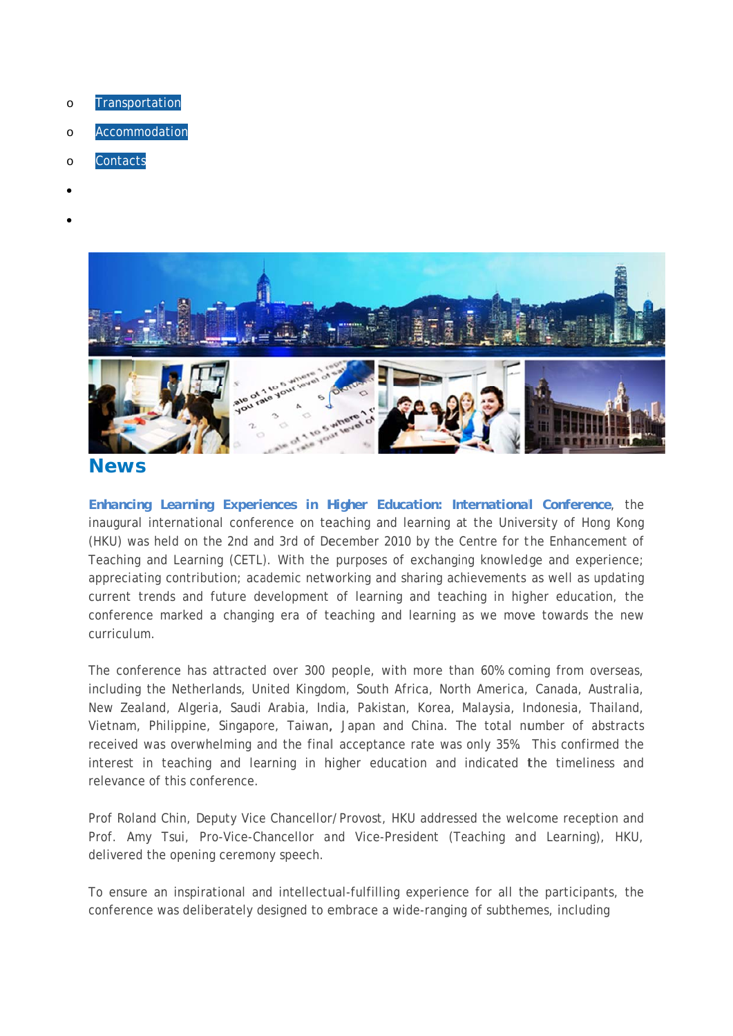- Transportation  $\circ$
- Accommodation  $\circ$
- Contacts  $\Omega$
- 
- 



## **News**

Enhancing Learning Experiences in Higher Education: International Conference, the inaugural international conference on teaching and learning at the University of Hong Kong (HKU) was held on the 2nd and 3rd of December 2010 by the Centre for the Enhancement of Teaching and Learning (CETL). With the purposes of exchanging knowledge and experience; appreciating contribution; academic networking and sharing achievements as well as updating current trends and future development of learning and teaching in higher education, the conference marked a changing era of teaching and learning as we move towards the new curriculum

The conference has attracted over 300 people, with more than 60% coming from overseas, including the Netherlands, United Kingdom, South Africa, North America, Canada, Australia, New Zealand, Algeria, Saudi Arabia, India, Pakistan, Korea, Malaysia, Indonesia, Thailand, Vietnam, Philippine, Singapore, Taiwan, Japan and China. The total number of abstracts received was overwhelming and the final acceptance rate was only 35%. This confirmed the interest in teaching and learning in higher education and indicated the timeliness and relevance of this conference.

Prof Roland Chin, Deputy Vice Chancellor/Provost, HKU addressed the welcome reception and Prof. Amy Tsui, Pro-Vice-Chancellor and Vice-President (Teaching and Learning), HKU, delivered the opening ceremony speech.

To ensure an inspirational and intellectual-fulfilling experience for all the participants, the conference was deliberately designed to embrace a wide-ranging of subthemes, including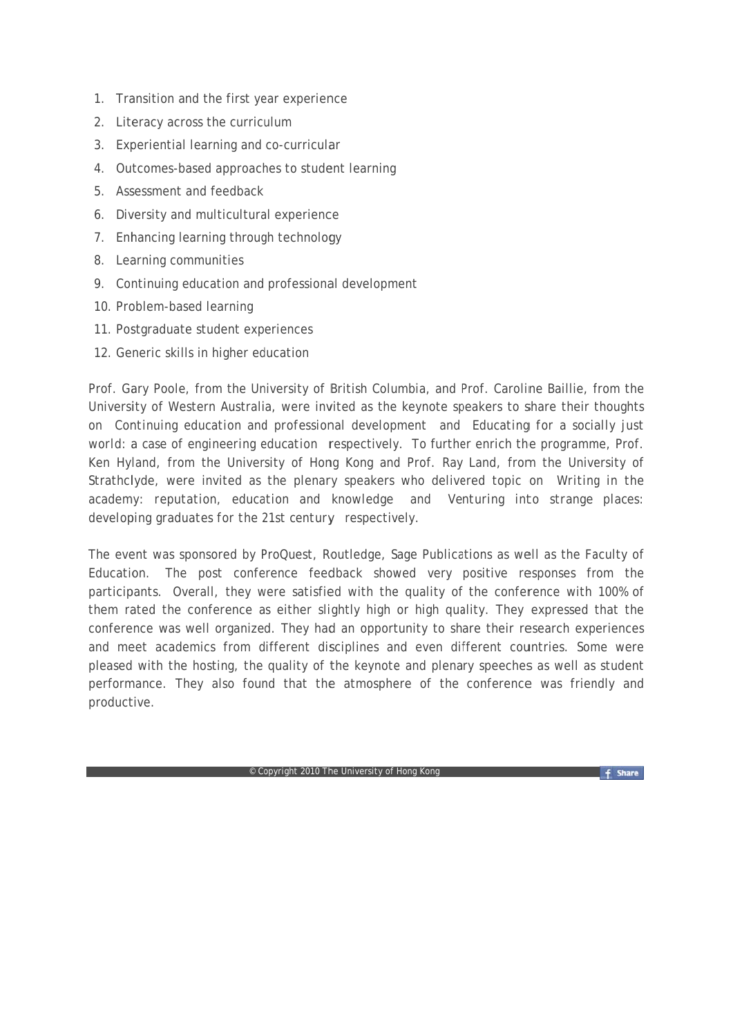- 1. Transition and the first year experience
- 2. Literacy across the curriculum
- 3. Experiential learning and co-curricular
- 4. Outcomes-based approaches to student learning
- 5 Assessment and feedback
- 6. Diversity and multicultural experience
- 7. Enhancing learning through technology
- 8. Learning communities
- 9. Continuing education and professional development
- 10. Problem-based learning
- 11. Postgraduate student experiences
- 12. Generic skills in higher education

Prof. Gary Poole, from the University of British Columbia, and Prof. Caroline Baillie, from the University of Western Australia, were invited as the keynote speakers to share their thoughts on Continuing education and professional development and Educating for a socially just world: a case of engineering education respectively. To further enrich the programme, Prof. Ken Hyland, from the University of Hong Kong and Prof. Ray Land, from the University of Strathclyde, were invited as the plenary speakers who delivered topic on Writing in the academy: reputation, education and knowledge and Venturing into strange places: developing graduates for the 21st century respectively.

The event was sponsored by ProQuest, Routledge, Sage Publications as well as the Faculty of Education. The post conference feedback showed very positive responses from the participants. Overall, they were satisfied with the quality of the conference with 100% of them rated the conference as either slightly high or high quality. They expressed that the conference was well organized. They had an opportunity to share their research experiences and meet academics from different disciplines and even different countries. Some were pleased with the hosting, the quality of the keynote and plenary speeches as well as student performance. They also found that the atmosphere of the conference was friendly and productive.

Copyright 2010 The University of Hong Kong

f Share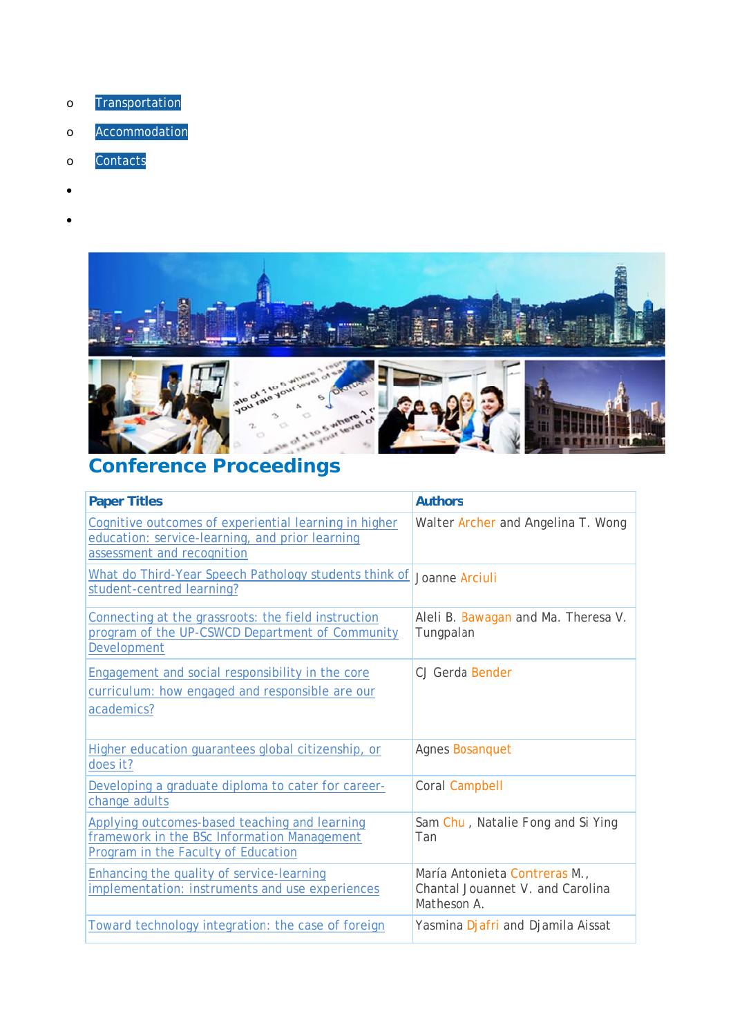- Transportation  $\circ$
- Accommodation  $\circ$
- Contacts  $\circ$
- 
- 



## **Conference Proceedings**

| <b>Paper Titles</b>                                                                                                                    | <b>Authors</b>                                                                   |
|----------------------------------------------------------------------------------------------------------------------------------------|----------------------------------------------------------------------------------|
| Cognitive outcomes of experiential learning in higher<br>education: service-learning, and prior learning<br>assessment and recognition | Walter Archer and Angelina T. Wong                                               |
| What do Third-Year Speech Pathology students think of<br>student-centred learning?                                                     | Joanne Arciuli                                                                   |
| Connecting at the grassroots: the field instruction<br>program of the UP-CSWCD Department of Community<br>Development                  | Aleli B. Bawagan and Ma. Theresa V.<br>Tungpalan                                 |
| Engagement and social responsibility in the core<br>curriculum: how engaged and responsible are our<br>academics?                      | CJ Gerda Bender                                                                  |
| Higher education quarantees global citizenship, or<br>does it?                                                                         | Agnes Bosanquet                                                                  |
| Developing a graduate diploma to cater for career-<br>change adults                                                                    | Coral Campbell                                                                   |
| Applying outcomes-based teaching and learning<br>framework in the BSc Information Management<br>Program in the Faculty of Education    | Sam Chu, Natalie Fong and Si Ying<br>Tan                                         |
| <b>Enhancing the quality of service-learning</b><br>implementation: instruments and use experiences                                    | María Antonieta Contreras M.,<br>Chantal Jouannet V. and Carolina<br>Matheson A. |
| Toward technology integration: the case of foreign                                                                                     | Yasmina Djafri and Djamila Aissat                                                |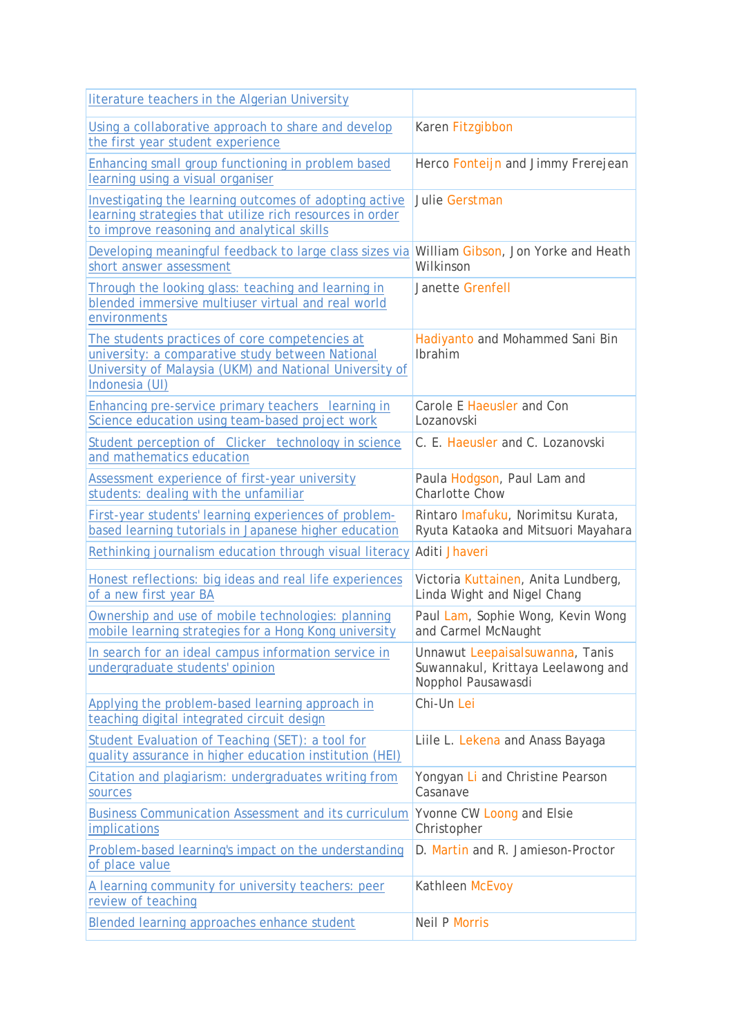| literature teachers in the Algerian University                                                                                                                                  |                                                                                             |
|---------------------------------------------------------------------------------------------------------------------------------------------------------------------------------|---------------------------------------------------------------------------------------------|
| Using a collaborative approach to share and develop<br>the first year student experience                                                                                        | Karen Fitzgibbon                                                                            |
| Enhancing small group functioning in problem based<br>learning using a visual organiser                                                                                         | Herco Fonteijn and Jimmy Frerejean                                                          |
| Investigating the learning outcomes of adopting active<br>learning strategies that utilize rich resources in order<br>to improve reasoning and analytical skills                | Julie Gerstman                                                                              |
| Developing meaningful feedback to large class sizes via<br>short answer assessment                                                                                              | William Gibson, Jon Yorke and Heath<br>Wilkinson                                            |
| Through the looking glass: teaching and learning in<br>blended immersive multiuser virtual and real world<br>environments                                                       | Janette Grenfell                                                                            |
| The students practices of core competencies at<br>university: a comparative study between National<br>University of Malaysia (UKM) and National University of<br>Indonesia (UI) | Hadiyanto and Mohammed Sani Bin<br>Ibrahim                                                  |
| Enhancing pre-service primary teachers learning in<br>Science education using team-based project work                                                                           | Carole E Haeusler and Con<br>Lozanovski                                                     |
| Student perception of Clicker technology in science<br>and mathematics education                                                                                                | C. E. Haeusler and C. Lozanovski                                                            |
| Assessment experience of first-year university<br>students: dealing with the unfamiliar                                                                                         | Paula Hodgson, Paul Lam and<br><b>Charlotte Chow</b>                                        |
| First-year students' learning experiences of problem-<br>based learning tutorials in Japanese higher education                                                                  | Rintaro Imafuku, Norimitsu Kurata,<br>Ryuta Kataoka and Mitsuori Mayahara                   |
| Rethinking journalism education through visual literacy                                                                                                                         | Aditi Jhaveri                                                                               |
| Honest reflections: big ideas and real life experiences<br>of a new first year BA                                                                                               | Victoria Kuttainen, Anita Lundberg,<br>Linda Wight and Nigel Chang                          |
| Ownership and use of mobile technologies: planning<br>mobile learning strategies for a Hong Kong university                                                                     | Paul Lam, Sophie Wong, Kevin Wong<br>and Carmel McNaught                                    |
| In search for an ideal campus information service in<br>undergraduate students' opinion                                                                                         | Unnawut Leepaisalsuwanna, Tanis<br>Suwannakul, Krittaya Leelawong and<br>Nopphol Pausawasdi |
| Applying the problem-based learning approach in<br>teaching digital integrated circuit design                                                                                   | Chi-Un Lei                                                                                  |
| Student Evaluation of Teaching (SET): a tool for<br>quality assurance in higher education institution (HEI)                                                                     | Liile L. Lekena and Anass Bayaga                                                            |
| Citation and plagiarism: undergraduates writing from<br>sources                                                                                                                 | Yongyan Li and Christine Pearson<br>Casanave                                                |
| <b>Business Communication Assessment and its curriculum</b><br>implications                                                                                                     | Yvonne CW Loong and Elsie<br>Christopher                                                    |
| Problem-based learning's impact on the understanding<br>of place value                                                                                                          | D. Martin and R. Jamieson-Proctor                                                           |
| A learning community for university teachers: peer<br>review of teaching                                                                                                        | Kathleen McEvoy                                                                             |
| Blended learning approaches enhance student                                                                                                                                     | <b>Neil P Morris</b>                                                                        |